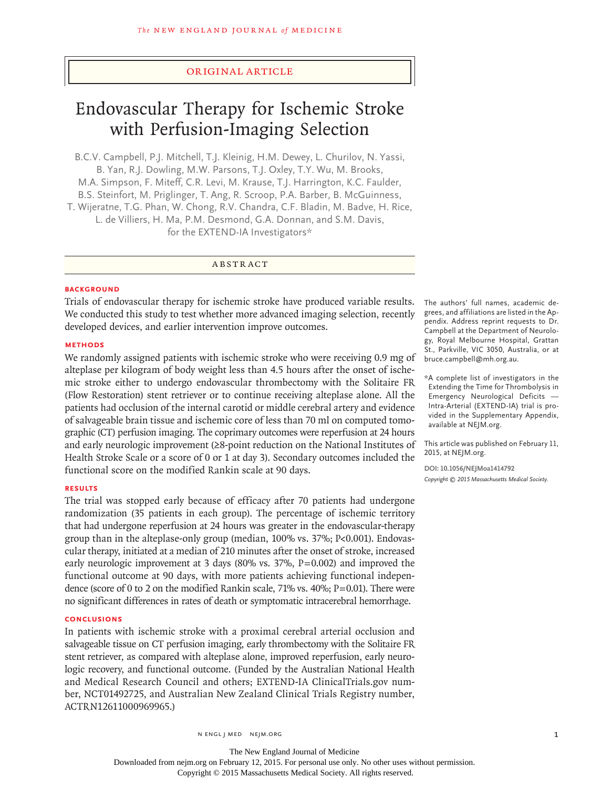# original article

# Endovascular Therapy for Ischemic Stroke with Perfusion-Imaging Selection

B.C.V. Campbell, P.J. Mitchell, T.J. Kleinig, H.M. Dewey, L. Churilov, N. Yassi, B. Yan, R.J. Dowling, M.W. Parsons, T.J. Oxley, T.Y. Wu, M. Brooks, M.A. Simpson, F. Miteff, C.R. Levi, M. Krause, T.J. Harrington, K.C. Faulder, B.S. Steinfort, M. Priglinger, T. Ang, R. Scroop, P.A. Barber, B. McGuinness, T. Wijeratne, T.G. Phan, W. Chong, R.V. Chandra, C.F. Bladin, M. Badve, H. Rice, L. de Villiers, H. Ma, P.M. Desmond, G.A. Donnan, and S.M. Davis, for the EXTEND-IA Investigators\*

ABSTRACT

## **BACKGROUND**

Trials of endovascular therapy for ischemic stroke have produced variable results. We conducted this study to test whether more advanced imaging selection, recently developed devices, and earlier intervention improve outcomes.

# **Methods**

We randomly assigned patients with ischemic stroke who were receiving 0.9 mg of alteplase per kilogram of body weight less than 4.5 hours after the onset of ischemic stroke either to undergo endovascular thrombectomy with the Solitaire FR (Flow Restoration) stent retriever or to continue receiving alteplase alone. All the patients had occlusion of the internal carotid or middle cerebral artery and evidence of salvageable brain tissue and ischemic core of less than 70 ml on computed tomographic (CT) perfusion imaging. The coprimary outcomes were reperfusion at 24 hours and early neurologic improvement (≥8-point reduction on the National Institutes of Health Stroke Scale or a score of 0 or 1 at day 3). Secondary outcomes included the functional score on the modified Rankin scale at 90 days.

### **Results**

The trial was stopped early because of efficacy after 70 patients had undergone randomization (35 patients in each group). The percentage of ischemic territory that had undergone reperfusion at 24 hours was greater in the endovascular-therapy group than in the alteplase-only group (median, 100% vs. 37%; P<0.001). Endovascular therapy, initiated at a median of 210 minutes after the onset of stroke, increased early neurologic improvement at 3 days (80% vs.  $37%$ , P=0.002) and improved the functional outcome at 90 days, with more patients achieving functional independence (score of 0 to 2 on the modified Rankin scale,  $71\%$  vs.  $40\%$ ;  $P=0.01$ ). There were no significant differences in rates of death or symptomatic intracerebral hemorrhage.

## **Conclusions**

In patients with ischemic stroke with a proximal cerebral arterial occlusion and salvageable tissue on CT perfusion imaging, early thrombectomy with the Solitaire FR stent retriever, as compared with alteplase alone, improved reperfusion, early neurologic recovery, and functional outcome. (Funded by the Australian National Health and Medical Research Council and others; EXTEND-IA ClinicalTrials.gov number, NCT01492725, and Australian New Zealand Clinical Trials Registry number, ACTRN12611000969965.)

The authors' full names, academic degrees, and affiliations are listed in the Appendix. Address reprint requests to Dr. Campbell at the Department of Neurology, Royal Melbourne Hospital, Grattan St., Parkville, VIC 3050, Australia, or at bruce.campbell@mh.org.au.

\*A complete list of investigators in the Extending the Time for Thrombolysis in Emergency Neurological Deficits — Intra-Arterial (EXTEND-IA) trial is provided in the Supplementary Appendix, available at NEJM.org.

This article was published on February 11, 2015, at NEJM.org.

**DOI: 10.1056/NEJMoa1414792** *Copyright © 2015 Massachusetts Medical Society.*

n engl j med nejm.org 1

Downloaded from nejm.org on February 12, 2015. For personal use only. No other uses without permission.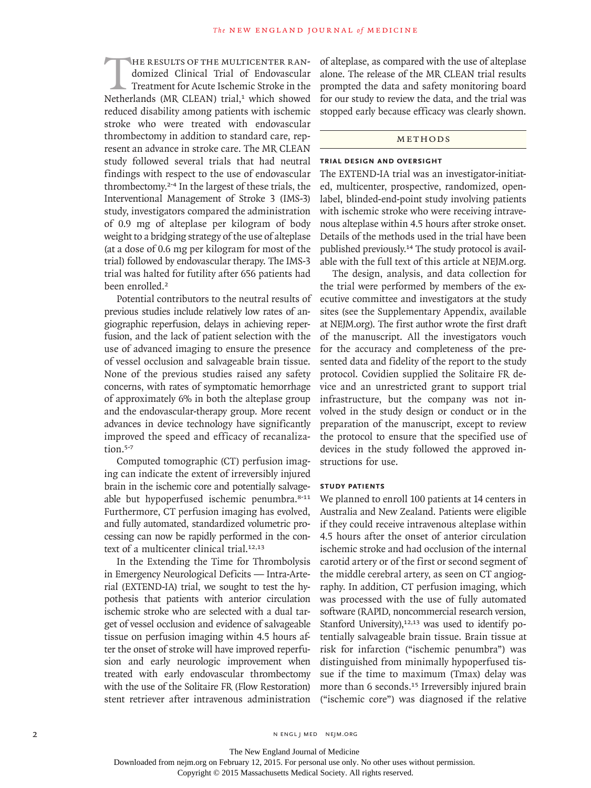THE RESULTS OF THE MULTICENTER RAN-<br>
domized Clinical Trial of Endovascular<br>
Treatment for Acute Ischemic Stroke in the<br>
Netherlands (MR CLEAN) trial,<sup>1</sup> which showed domized Clinical Trial of Endovascular Treatment for Acute Ischemic Stroke in the reduced disability among patients with ischemic stroke who were treated with endovascular thrombectomy in addition to standard care, represent an advance in stroke care. The MR CLEAN study followed several trials that had neutral findings with respect to the use of endovascular thrombectomy.2-4 In the largest of these trials, the Interventional Management of Stroke 3 (IMS-3) study, investigators compared the administration of 0.9 mg of alteplase per kilogram of body weight to a bridging strategy of the use of alteplase (at a dose of 0.6 mg per kilogram for most of the trial) followed by endovascular therapy. The IMS-3 trial was halted for futility after 656 patients had been enrolled.<sup>2</sup>

Potential contributors to the neutral results of previous studies include relatively low rates of angiographic reperfusion, delays in achieving reperfusion, and the lack of patient selection with the use of advanced imaging to ensure the presence of vessel occlusion and salvageable brain tissue. None of the previous studies raised any safety concerns, with rates of symptomatic hemorrhage of approximately 6% in both the alteplase group and the endovascular-therapy group. More recent advances in device technology have significantly improved the speed and efficacy of recanalization.<sup>5-7</sup>

Computed tomographic (CT) perfusion imaging can indicate the extent of irreversibly injured brain in the ischemic core and potentially salvageable but hypoperfused ischemic penumbra.<sup>8-11</sup> Furthermore, CT perfusion imaging has evolved, and fully automated, standardized volumetric processing can now be rapidly performed in the context of a multicenter clinical trial.<sup>12,13</sup>

In the Extending the Time for Thrombolysis in Emergency Neurological Deficits — Intra-Arterial (EXTEND-IA) trial, we sought to test the hypothesis that patients with anterior circulation ischemic stroke who are selected with a dual target of vessel occlusion and evidence of salvageable tissue on perfusion imaging within 4.5 hours after the onset of stroke will have improved reperfusion and early neurologic improvement when treated with early endovascular thrombectomy with the use of the Solitaire FR (Flow Restoration) stent retriever after intravenous administration of alteplase, as compared with the use of alteplase alone. The release of the MR CLEAN trial results prompted the data and safety monitoring board for our study to review the data, and the trial was stopped early because efficacy was clearly shown.

#### METHODS

## **Trial Design and Oversight**

The EXTEND-IA trial was an investigator-initiated, multicenter, prospective, randomized, openlabel, blinded-end-point study involving patients with ischemic stroke who were receiving intravenous alteplase within 4.5 hours after stroke onset. Details of the methods used in the trial have been published previously.14 The study protocol is available with the full text of this article at NEJM.org.

The design, analysis, and data collection for the trial were performed by members of the executive committee and investigators at the study sites (see the Supplementary Appendix, available at NEJM.org). The first author wrote the first draft of the manuscript. All the investigators vouch for the accuracy and completeness of the presented data and fidelity of the report to the study protocol. Covidien supplied the Solitaire FR device and an unrestricted grant to support trial infrastructure, but the company was not involved in the study design or conduct or in the preparation of the manuscript, except to review the protocol to ensure that the specified use of devices in the study followed the approved instructions for use.

## **Study Patients**

We planned to enroll 100 patients at 14 centers in Australia and New Zealand. Patients were eligible if they could receive intravenous alteplase within 4.5 hours after the onset of anterior circulation ischemic stroke and had occlusion of the internal carotid artery or of the first or second segment of the middle cerebral artery, as seen on CT angiography. In addition, CT perfusion imaging, which was processed with the use of fully automated software (RAPID, noncommercial research version, Stanford University), $12,13$  was used to identify potentially salvageable brain tissue. Brain tissue at risk for infarction ("ischemic penumbra") was distinguished from minimally hypoperfused tissue if the time to maximum (Tmax) delay was more than 6 seconds.<sup>15</sup> Irreversibly injured brain ("ischemic core") was diagnosed if the relative

The New England Journal of Medicine

Downloaded from nejm.org on February 12, 2015. For personal use only. No other uses without permission.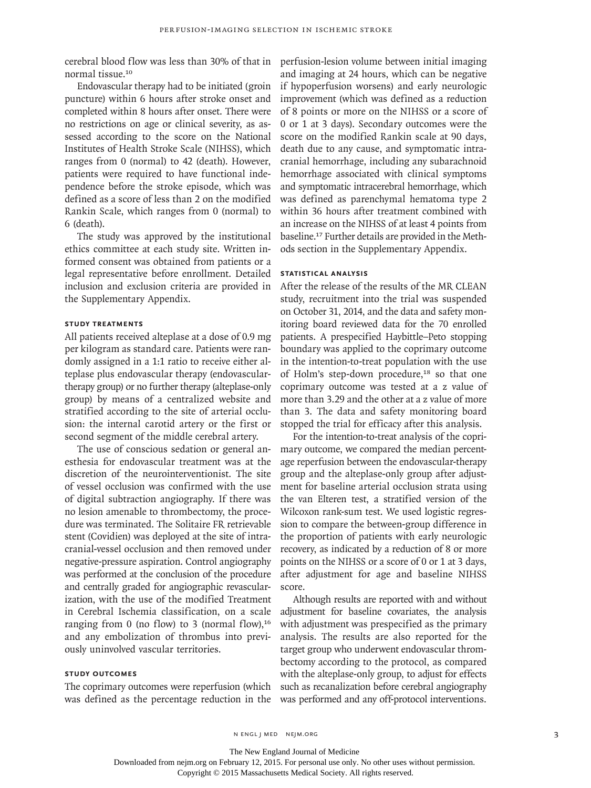cerebral blood flow was less than 30% of that in normal tissue.<sup>10</sup>

Endovascular therapy had to be initiated (groin puncture) within 6 hours after stroke onset and completed within 8 hours after onset. There were no restrictions on age or clinical severity, as assessed according to the score on the National Institutes of Health Stroke Scale (NIHSS), which ranges from 0 (normal) to 42 (death). However, patients were required to have functional independence before the stroke episode, which was defined as a score of less than 2 on the modified Rankin Scale, which ranges from 0 (normal) to 6 (death).

The study was approved by the institutional ethics committee at each study site. Written informed consent was obtained from patients or a legal representative before enrollment. Detailed inclusion and exclusion criteria are provided in the Supplementary Appendix.

# **Study Treatments**

All patients received alteplase at a dose of 0.9 mg per kilogram as standard care. Patients were randomly assigned in a 1:1 ratio to receive either alteplase plus endovascular therapy (endovasculartherapy group) or no further therapy (alteplase-only group) by means of a centralized website and stratified according to the site of arterial occlusion: the internal carotid artery or the first or second segment of the middle cerebral artery.

The use of conscious sedation or general anesthesia for endovascular treatment was at the discretion of the neurointerventionist. The site of vessel occlusion was confirmed with the use of digital subtraction angiography. If there was no lesion amenable to thrombectomy, the procedure was terminated. The Solitaire FR retrievable stent (Covidien) was deployed at the site of intracranial-vessel occlusion and then removed under negative-pressure aspiration. Control angiography was performed at the conclusion of the procedure and centrally graded for angiographic revascularization, with the use of the modified Treatment in Cerebral Ischemia classification, on a scale ranging from 0 (no flow) to 3 (normal flow), $16$ and any embolization of thrombus into previously uninvolved vascular territories.

# **Study Outcomes**

The coprimary outcomes were reperfusion (which was defined as the percentage reduction in the perfusion-lesion volume between initial imaging and imaging at 24 hours, which can be negative if hypoperfusion worsens) and early neurologic improvement (which was defined as a reduction of 8 points or more on the NIHSS or a score of 0 or 1 at 3 days). Secondary outcomes were the score on the modified Rankin scale at 90 days, death due to any cause, and symptomatic intracranial hemorrhage, including any subarachnoid hemorrhage associated with clinical symptoms and symptomatic intracerebral hemorrhage, which was defined as parenchymal hematoma type 2 within 36 hours after treatment combined with an increase on the NIHSS of at least 4 points from baseline.17 Further details are provided in the Methods section in the Supplementary Appendix.

# **Statistical Analysis**

After the release of the results of the MR CLEAN study, recruitment into the trial was suspended on October 31, 2014, and the data and safety monitoring board reviewed data for the 70 enrolled patients. A prespecified Haybittle–Peto stopping boundary was applied to the coprimary outcome in the intention-to-treat population with the use of Holm's step-down procedure,<sup>18</sup> so that one coprimary outcome was tested at a z value of more than 3.29 and the other at a z value of more than 3. The data and safety monitoring board stopped the trial for efficacy after this analysis.

For the intention-to-treat analysis of the coprimary outcome, we compared the median percentage reperfusion between the endovascular-therapy group and the alteplase-only group after adjustment for baseline arterial occlusion strata using the van Elteren test, a stratified version of the Wilcoxon rank-sum test. We used logistic regression to compare the between-group difference in the proportion of patients with early neurologic recovery, as indicated by a reduction of 8 or more points on the NIHSS or a score of 0 or 1 at 3 days, after adjustment for age and baseline NIHSS score.

Although results are reported with and without adjustment for baseline covariates, the analysis with adjustment was prespecified as the primary analysis. The results are also reported for the target group who underwent endovascular thrombectomy according to the protocol, as compared with the alteplase-only group, to adjust for effects such as recanalization before cerebral angiography was performed and any off-protocol interventions.

n engl j med nejm.org 3

The New England Journal of Medicine

Downloaded from nejm.org on February 12, 2015. For personal use only. No other uses without permission.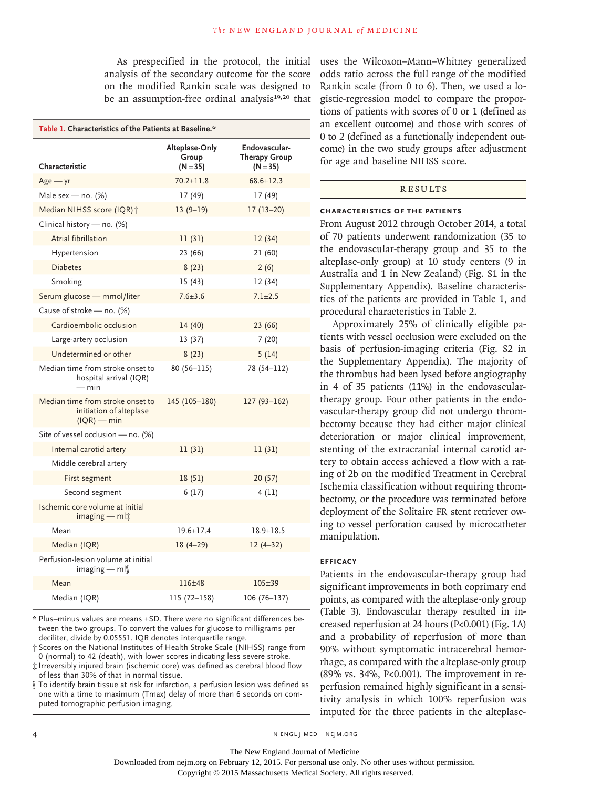As prespecified in the protocol, the initial analysis of the secondary outcome for the score on the modified Rankin scale was designed to be an assumption-free ordinal analysis<sup>19,20</sup> that

| Table 1. Characteristics of the Patients at Baseline.*                       |                                       |                                                   |  |  |  |  |
|------------------------------------------------------------------------------|---------------------------------------|---------------------------------------------------|--|--|--|--|
| Characteristic                                                               | Alteplase-Only<br>Group<br>$(N = 35)$ | Endovascular-<br><b>Therapy Group</b><br>$(N=35)$ |  |  |  |  |
| $Age - yr$                                                                   | $70.2 \pm 11.8$                       | $68.6 \pm 12.3$                                   |  |  |  |  |
| Male sex - no. $(%)$                                                         | 17 (49)                               | 17 (49)                                           |  |  |  |  |
| Median NIHSS score (IQR)+                                                    | $13(9-19)$                            | $17(13-20)$                                       |  |  |  |  |
| Clinical history - no. (%)                                                   |                                       |                                                   |  |  |  |  |
| Atrial fibrillation                                                          | 11(31)                                | 12(34)                                            |  |  |  |  |
| Hypertension                                                                 | 23 (66)                               | 21(60)                                            |  |  |  |  |
| <b>Diabetes</b>                                                              | 8(23)                                 | 2(6)                                              |  |  |  |  |
| Smoking                                                                      | 15(43)                                | 12 (34)                                           |  |  |  |  |
| Serum glucose - mmol/liter                                                   | $7.6 + 3.6$                           | $7.1 \pm 2.5$                                     |  |  |  |  |
| Cause of stroke - no. (%)                                                    |                                       |                                                   |  |  |  |  |
| Cardioembolic occlusion                                                      | 14(40)                                | 23(66)                                            |  |  |  |  |
| Large-artery occlusion                                                       | 13(37)                                | 7(20)                                             |  |  |  |  |
| Undetermined or other                                                        | 8(23)                                 | 5(14)                                             |  |  |  |  |
| Median time from stroke onset to<br>hospital arrival (IQR)<br>— min          | $80(56 - 115)$                        | 78 (54-112)                                       |  |  |  |  |
| Median time from stroke onset to<br>initiation of alteplase<br>$(IQR)$ — min | 145 (105-180)                         | $127(93 - 162)$                                   |  |  |  |  |
| Site of vessel occlusion - no. (%)                                           |                                       |                                                   |  |  |  |  |
| Internal carotid artery                                                      | 11(31)                                | 11(31)                                            |  |  |  |  |
| Middle cerebral artery                                                       |                                       |                                                   |  |  |  |  |
| First segment                                                                | 18 (51)                               | 20(57)                                            |  |  |  |  |
| Second segment                                                               | 6(17)                                 | 4(11)                                             |  |  |  |  |
| Ischemic core volume at initial<br>imaging — ml $\ddot{x}$                   |                                       |                                                   |  |  |  |  |
| Mean                                                                         | $19.6 \pm 17.4$                       | $18.9 \pm 18.5$                                   |  |  |  |  |
| Median (IQR)                                                                 | $18(4-29)$                            | $12(4-32)$                                        |  |  |  |  |
| Perfusion-lesion volume at initial<br>imaging $-mI$                          |                                       |                                                   |  |  |  |  |
| Mean                                                                         | 116±48                                | $105 + 39$                                        |  |  |  |  |
| Median (IQR)                                                                 | 115 (72-158)                          | $106(76 - 137)$                                   |  |  |  |  |

\* Plus–minus values are means ±SD. There were no significant differences between the two groups. To convert the values for glucose to milligrams per deciliter, divide by 0.05551. IQR denotes interquartile range.

† Scores on the National Institutes of Health Stroke Scale (NIHSS) range from 0 (normal) to 42 (death), with lower scores indicating less severe stroke.

‡ Irreversibly injured brain (ischemic core) was defined as cerebral blood flow of less than 30% of that in normal tissue.

§ To identify brain tissue at risk for infarction, a perfusion lesion was defined as one with a time to maximum (Tmax) delay of more than 6 seconds on computed tomographic perfusion imaging.

uses the Wilcoxon–Mann–Whitney generalized odds ratio across the full range of the modified Rankin scale (from 0 to 6). Then, we used a logistic-regression model to compare the proportions of patients with scores of 0 or 1 (defined as an excellent outcome) and those with scores of 0 to 2 (defined as a functionally independent outcome) in the two study groups after adjustment for age and baseline NIHSS score.

# **RESULTS**

## **Characteristics of the Patients**

From August 2012 through October 2014, a total of 70 patients underwent randomization (35 to the endovascular-therapy group and 35 to the alteplase-only group) at 10 study centers (9 in Australia and 1 in New Zealand) (Fig. S1 in the Supplementary Appendix). Baseline characteristics of the patients are provided in Table 1, and procedural characteristics in Table 2.

Approximately 25% of clinically eligible patients with vessel occlusion were excluded on the basis of perfusion-imaging criteria (Fig. S2 in the Supplementary Appendix). The majority of the thrombus had been lysed before angiography in 4 of 35 patients (11%) in the endovasculartherapy group. Four other patients in the endovascular-therapy group did not undergo thrombectomy because they had either major clinical deterioration or major clinical improvement, stenting of the extracranial internal carotid artery to obtain access achieved a flow with a rating of 2b on the modified Treatment in Cerebral Ischemia classification without requiring thrombectomy, or the procedure was terminated before deployment of the Solitaire FR stent retriever owing to vessel perforation caused by microcatheter manipulation.

# **Efficacy**

Patients in the endovascular-therapy group had significant improvements in both coprimary end points, as compared with the alteplase-only group (Table 3). Endovascular therapy resulted in increased reperfusion at 24 hours (P<0.001) (Fig. 1A) and a probability of reperfusion of more than 90% without symptomatic intracerebral hemorrhage, as compared with the alteplase-only group (89% vs. 34%, P<0.001). The improvement in reperfusion remained highly significant in a sensitivity analysis in which 100% reperfusion was imputed for the three patients in the alteplase-

4 n engl j med nejm.org i med nejm.org i med nejm.org i med nejm.org i med nejm.org i med nejm.org i med nejm.org

The New England Journal of Medicine Downloaded from nejm.org on February 12, 2015. For personal use only. No other uses without permission.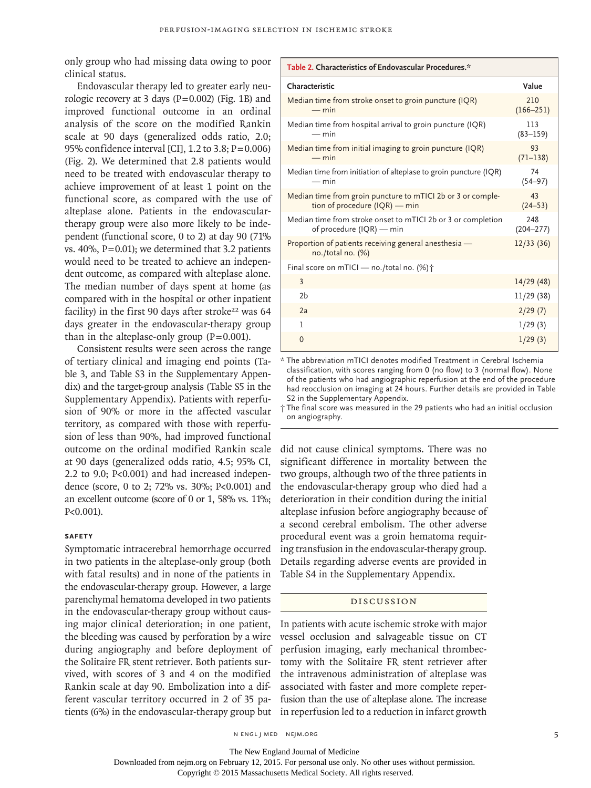only group who had missing data owing to poor clinical status.

Endovascular therapy led to greater early neurologic recovery at 3 days  $(P=0.002)$  (Fig. 1B) and improved functional outcome in an ordinal analysis of the score on the modified Rankin scale at 90 days (generalized odds ratio, 2.0; 95% confidence interval [CI], 1.2 to 3.8; P=0.006) (Fig. 2). We determined that 2.8 patients would need to be treated with endovascular therapy to achieve improvement of at least 1 point on the functional score, as compared with the use of alteplase alone. Patients in the endovasculartherapy group were also more likely to be independent (functional score, 0 to 2) at day 90 (71% vs. 40%,  $P=0.01$ ); we determined that 3.2 patients would need to be treated to achieve an independent outcome, as compared with alteplase alone. The median number of days spent at home (as compared with in the hospital or other inpatient facility) in the first 90 days after stroke<sup>22</sup> was 64 days greater in the endovascular-therapy group than in the alteplase-only group  $(P=0.001)$ .

Consistent results were seen across the range of tertiary clinical and imaging end points (Table 3, and Table S3 in the Supplementary Appendix) and the target-group analysis (Table S5 in the Supplementary Appendix). Patients with reperfusion of 90% or more in the affected vascular territory, as compared with those with reperfusion of less than 90%, had improved functional outcome on the ordinal modified Rankin scale at 90 days (generalized odds ratio, 4.5; 95% CI, 2.2 to 9.0; P<0.001) and had increased independence (score, 0 to 2; 72% vs. 30%; P<0.001) and an excellent outcome (score of 0 or 1, 58% vs. 11%; P<0.001).

#### **Safety**

Symptomatic intracerebral hemorrhage occurred in two patients in the alteplase-only group (both with fatal results) and in none of the patients in the endovascular-therapy group. However, a large parenchymal hematoma developed in two patients in the endovascular-therapy group without causing major clinical deterioration; in one patient, the bleeding was caused by perforation by a wire during angiography and before deployment of the Solitaire FR stent retriever. Both patients survived, with scores of 3 and 4 on the modified Rankin scale at day 90. Embolization into a different vascular territory occurred in 2 of 35 patients (6%) in the endovascular-therapy group but

| Table 2. Characteristics of Endovascular Procedures.* |  |
|-------------------------------------------------------|--|
|-------------------------------------------------------|--|

| Characteristic                                                                                 | Value                |
|------------------------------------------------------------------------------------------------|----------------------|
| Median time from stroke onset to groin puncture (IQR)<br>$-$ min                               | 210<br>$(166 - 251)$ |
| Median time from hospital arrival to groin puncture (IQR)<br>$-$ min                           | 113<br>$(83 - 159)$  |
| Median time from initial imaging to groin puncture (IQR)<br>$-$ min                            | 93<br>$(71 - 138)$   |
| Median time from initiation of alteplase to groin puncture (IQR)<br>$-$ min                    | 74<br>$(54 - 97)$    |
| Median time from groin puncture to mTICI 2b or 3 or comple-<br>tion of procedure $(IQR)$ - min | 43<br>$(24 - 53)$    |
| Median time from stroke onset to mTICI 2b or 3 or completion<br>of procedure (IQR) — min       | 248<br>$(204 - 277)$ |
| Proportion of patients receiving general anesthesia —<br>no./total no. (%)                     | 12/33(36)            |
| Final score on mTICI — no./total no. (%) $\dagger$                                             |                      |
| 3                                                                                              | 14/29 (48)           |
| 2 <sub>b</sub>                                                                                 | 11/29 (38)           |
| 2a                                                                                             | 2/29(7)              |
| 1                                                                                              | 1/29(3)              |
| $\mathbf{0}$                                                                                   | 1/29(3)              |

\* The abbreviation mTICI denotes modified Treatment in Cerebral Ischemia classification, with scores ranging from 0 (no flow) to 3 (normal flow). None of the patients who had angiographic reperfusion at the end of the procedure had reocclusion on imaging at 24 hours. Further details are provided in Table S2 in the Supplementary Appendix.

† The final score was measured in the 29 patients who had an initial occlusion on angiography.

did not cause clinical symptoms. There was no significant difference in mortality between the two groups, although two of the three patients in the endovascular-therapy group who died had a deterioration in their condition during the initial alteplase infusion before angiography because of a second cerebral embolism. The other adverse procedural event was a groin hematoma requiring transfusion in the endovascular-therapy group. Details regarding adverse events are provided in Table S4 in the Supplementary Appendix.

#### Discussion

In patients with acute ischemic stroke with major vessel occlusion and salvageable tissue on CT perfusion imaging, early mechanical thrombectomy with the Solitaire FR stent retriever after the intravenous administration of alteplase was associated with faster and more complete reperfusion than the use of alteplase alone. The increase in reperfusion led to a reduction in infarct growth

n engl j med nejm.org 5

The New England Journal of Medicine

Downloaded from nejm.org on February 12, 2015. For personal use only. No other uses without permission.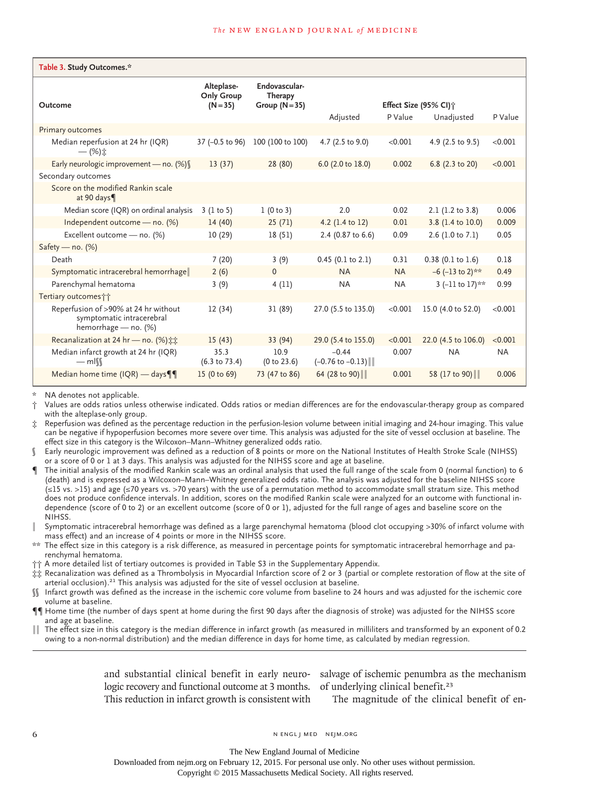| Table 3. Study Outcomes.*                                                                 |                                               |                                            |                                        |           |                                     |           |
|-------------------------------------------------------------------------------------------|-----------------------------------------------|--------------------------------------------|----------------------------------------|-----------|-------------------------------------|-----------|
| Outcome                                                                                   | Alteplase-<br><b>Only Group</b><br>$(N = 35)$ | Endovascular-<br>Therapy<br>Group $(N=35)$ | Adjusted                               | P Value   | Effect Size (95% CI);<br>Unadjusted | P Value   |
| Primary outcomes                                                                          |                                               |                                            |                                        |           |                                     |           |
| Median reperfusion at 24 hr (IQR)<br>$-$ (%) $\pm$                                        | 37 (-0.5 to 96)                               | 100 (100 to 100)                           | 4.7 (2.5 to 9.0)                       | < 0.001   | 4.9 (2.5 to 9.5)                    | < 0.001   |
| Early neurologic improvement - no. (%)                                                    | 13(37)                                        | 28 (80)                                    | 6.0 (2.0 to 18.0)                      | 0.002     | 6.8 (2.3 to 20)                     | < 0.001   |
| Secondary outcomes                                                                        |                                               |                                            |                                        |           |                                     |           |
| Score on the modified Rankin scale<br>at 90 days                                          |                                               |                                            |                                        |           |                                     |           |
| Median score (IQR) on ordinal analysis                                                    | 3(1 to 5)                                     | 1(0 to 3)                                  | 2.0                                    | 0.02      | $2.1$ (1.2 to 3.8)                  | 0.006     |
| Independent outcome - no. (%)                                                             | 14(40)                                        | 25(71)                                     | 4.2 (1.4 to 12)                        | 0.01      | 3.8 (1.4 to 10.0)                   | 0.009     |
| Excellent outcome - no. (%)                                                               | 10(29)                                        | 18(51)                                     | 2.4 (0.87 to 6.6)                      | 0.09      | 2.6 (1.0 to 7.1)                    | 0.05      |
| Safety — $no.$ (%)                                                                        |                                               |                                            |                                        |           |                                     |           |
| Death                                                                                     | 7(20)                                         | 3(9)                                       | $0.45$ (0.1 to 2.1)                    | 0.31      | $0.38$ (0.1 to 1.6)                 | 0.18      |
| Symptomatic intracerebral hemorrhage                                                      | 2(6)                                          | $\mathbf{0}$                               | <b>NA</b>                              | <b>NA</b> | $-6$ (-13 to 2)**                   | 0.49      |
| Parenchymal hematoma                                                                      | 3(9)                                          | 4(11)                                      | <b>NA</b>                              | <b>NA</b> | $3 (-11 to 17)**$                   | 0.99      |
| Tertiary outcomes††                                                                       |                                               |                                            |                                        |           |                                     |           |
| Reperfusion of >90% at 24 hr without<br>symptomatic intracerebral<br>hemorrhage - no. (%) | 12(34)                                        | 31 (89)                                    | 27.0 (5.5 to 135.0)                    | < 0.001   | 15.0 (4.0 to 52.0)                  | < 0.001   |
| Recanalization at 24 hr - no. (%) ##                                                      | 15(43)                                        | 33(94)                                     | 29.0 (5.4 to 155.0)                    | < 0.001   | 22.0 (4.5 to 106.0)                 | < 0.001   |
| Median infarct growth at 24 hr (IQR)<br>$-m1$                                             | 35.3<br>$(6.3 \text{ to } 73.4)$              | 10.9<br>(0 to 23.6)                        | $-0.44$<br>$(-0.76 \text{ to } -0.13)$ | 0.007     | <b>NA</b>                           | <b>NA</b> |
| Median home time $(IQR)$ — days                                                           | 15 (0 to 69)                                  | 73 (47 to 86)                              | 64 (28 to 90)                          | 0.001     | 58 (17 to 90)                       | 0.006     |

NA denotes not applicable.

† Values are odds ratios unless otherwise indicated. Odds ratios or median differences are for the endovascular-therapy group as compared with the alteplase-only group.

‡ Reperfusion was defined as the percentage reduction in the perfusion-lesion volume between initial imaging and 24-hour imaging. This value can be negative if hypoperfusion becomes more severe over time. This analysis was adjusted for the site of vessel occlusion at baseline. The effect size in this category is the Wilcoxon–Mann–Whitney generalized odds ratio.

§ Early neurologic improvement was defined as a reduction of 8 points or more on the National Institutes of Health Stroke Scale (NIHSS) or a score of 0 or 1 at 3 days. This analysis was adjusted for the NIHSS score and age at baseline.

The initial analysis of the modified Rankin scale was an ordinal analysis that used the full range of the scale from 0 (normal function) to 6 (death) and is expressed as a Wilcoxon–Mann–Whitney generalized odds ratio. The analysis was adjusted for the baseline NIHSS score (≤15 vs. >15) and age (≤70 years vs. >70 years) with the use of a permutation method to accommodate small stratum size. This method does not produce confidence intervals. In addition, scores on the modified Rankin scale were analyzed for an outcome with functional independence (score of 0 to 2) or an excellent outcome (score of 0 or 1), adjusted for the full range of ages and baseline score on the NIHSS.

Symptomatic intracerebral hemorrhage was defined as a large parenchymal hematoma (blood clot occupying >30% of infarct volume with mass effect) and an increase of 4 points or more in the NIHSS score.

The effect size in this category is a risk difference, as measured in percentage points for symptomatic intracerebral hemorrhage and parenchymal hematoma.

†† A more detailed list of tertiary outcomes is provided in Table S3 in the Supplementary Appendix.

‡‡ Recanalization was defined as a Thrombolysis in Myocardial Infarction score of 2 or 3 (partial or complete restoration of flow at the site of arterial occlusion).<sup>21</sup> This analysis was adjusted for the site of vessel occlusion at baseline.

§§ Infarct growth was defined as the increase in the ischemic core volume from baseline to 24 hours and was adjusted for the ischemic core volume at baseline.

¶¶ Home time (the number of days spent at home during the first 90 days after the diagnosis of stroke) was adjusted for the NIHSS score and age at baseline.

The effect size in this category is the median difference in infarct growth (as measured in milliliters and transformed by an exponent of 0.2 owing to a non-normal distribution) and the median difference in days for home time, as calculated by median regression.

> logic recovery and functional outcome at 3 months. of underlying clinical benefit.<sup>23</sup> This reduction in infarct growth is consistent with

and substantial clinical benefit in early neuro-salvage of ischemic penumbra as the mechanism

The magnitude of the clinical benefit of en-

Downloaded from nejm.org on February 12, 2015. For personal use only. No other uses without permission.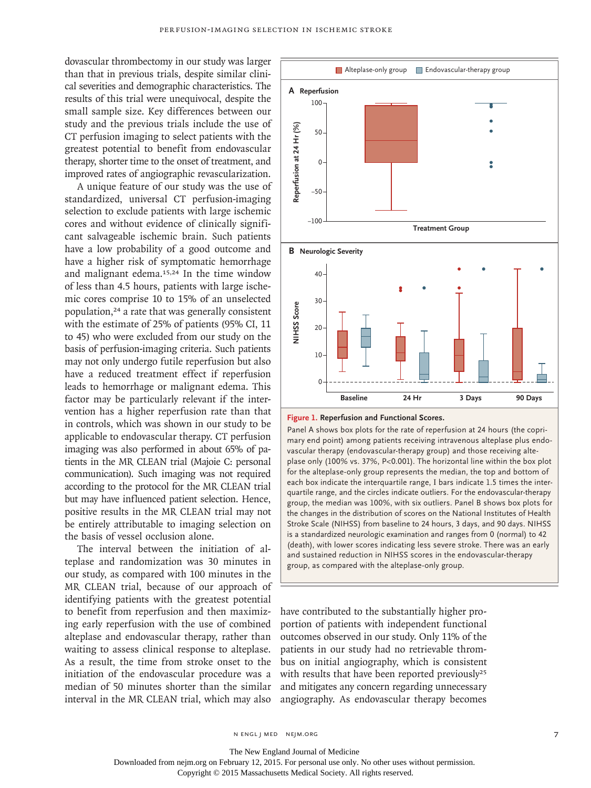dovascular thrombectomy in our study was larger than that in previous trials, despite similar clinical severities and demographic characteristics. The results of this trial were unequivocal, despite the small sample size. Key differences between our study and the previous trials include the use of CT perfusion imaging to select patients with the greatest potential to benefit from endovascular therapy, shorter time to the onset of treatment, and improved rates of angiographic revascularization.

A unique feature of our study was the use of standardized, universal CT perfusion-imaging selection to exclude patients with large ischemic cores and without evidence of clinically significant salvageable ischemic brain. Such patients have a low probability of a good outcome and have a higher risk of symptomatic hemorrhage and malignant edema.<sup>15,24</sup> In the time window of less than 4.5 hours, patients with large ischemic cores comprise 10 to 15% of an unselected population,24 a rate that was generally consistent with the estimate of 25% of patients (95% CI, 11 to 45) who were excluded from our study on the basis of perfusion-imaging criteria. Such patients may not only undergo futile reperfusion but also have a reduced treatment effect if reperfusion leads to hemorrhage or malignant edema. This factor may be particularly relevant if the intervention has a higher reperfusion rate than that in controls, which was shown in our study to be applicable to endovascular therapy. CT perfusion imaging was also performed in about 65% of patients in the MR CLEAN trial (Majoie C: personal communication). Such imaging was not required according to the protocol for the MR CLEAN trial but may have influenced patient selection. Hence, positive results in the MR CLEAN trial may not be entirely attributable to imaging selection on the basis of vessel occlusion alone.

The interval between the initiation of alteplase and randomization was 30 minutes in our study, as compared with 100 minutes in the MR CLEAN trial, because of our approach of identifying patients with the greatest potential to benefit from reperfusion and then maximizing early reperfusion with the use of combined alteplase and endovascular therapy, rather than waiting to assess clinical response to alteplase. As a result, the time from stroke onset to the initiation of the endovascular procedure was a median of 50 minutes shorter than the similar interval in the MR CLEAN trial, which may also





Panel A shows box plots for the rate of reperfusion at 24 hours (the coprimary end point) among patients receiving intravenous alteplase plus endovascular therapy (endovascular-therapy group) and those receiving alteplase only (100% vs. 37%, P<0.001). The horizontal line within the box plot for the alteplase-only group represents the median, the top and bottom of each box indicate the interquartile range, I bars indicate 1.5 times the interquartile range, and the circles indicate outliers. For the endovascular-therapy group, the median was 100%, with six outliers. Panel B shows box plots for the changes in the distribution of scores on the National Institutes of Health Stroke Scale (NIHSS) from baseline to 24 hours, 3 days, and 90 days. NIHSS is a standardized neurologic examination and ranges from 0 (normal) to 42 (death), with lower scores indicating less severe stroke. There was an early and sustained reduction in NIHSS scores in the endovascular-therapy group, as compared with the alteplase-only group.

have contributed to the substantially higher proportion of patients with independent functional outcomes observed in our study. Only 11% of the patients in our study had no retrievable thrombus on initial angiography, which is consistent with results that have been reported previously<sup>25</sup> and mitigates any concern regarding unnecessary angiography. As endovascular therapy becomes

The New England Journal of Medicine

Downloaded from nejm.org on February 12, 2015. For personal use only. No other uses without permission.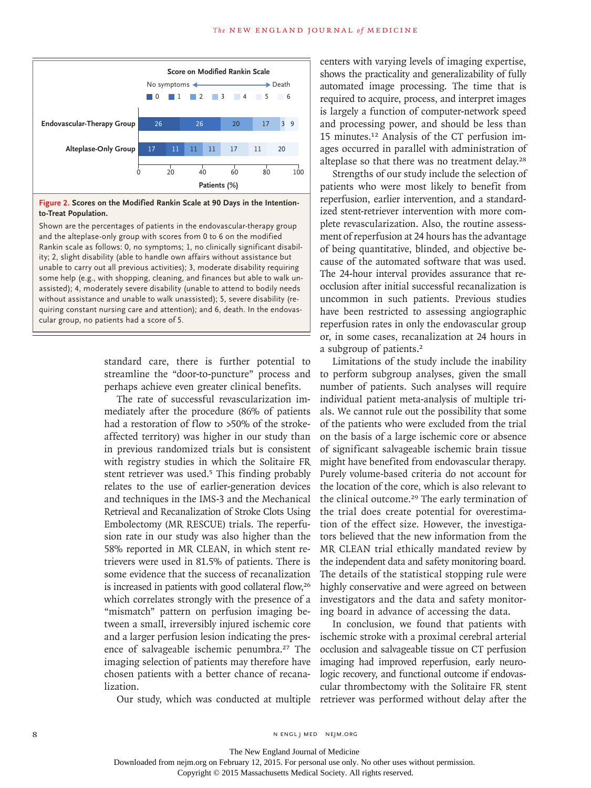

**Figure 2. Scores on the Modified Rankin Scale at 90 Days in the Intentionto-Treat Population.**

Shown are the percentages of patients in the endovascular-therapy group and the alteplase-only group with scores from 0 to 6 on the modified Rankin scale as follows: 0, no symptoms; 1, no clinically significant disability; 2, slight disability (able to handle own affairs without assistance but unable to carry out all previous activities); 3, moderate disability requiring some help (e.g., with shopping, cleaning, and finances but able to walk unassisted); 4, moderately severe disability (unable to attend to bodily needs without assistance and unable to walk unassisted); 5, severe disability (requiring constant nursing care and attention); and 6, death. In the endovascular group, no patients had a score of 5.

> standard care, there is further potential to streamline the "door-to-puncture" process and perhaps achieve even greater clinical benefits.

> The rate of successful revascularization immediately after the procedure (86% of patients had a restoration of flow to >50% of the strokeaffected territory) was higher in our study than in previous randomized trials but is consistent with registry studies in which the Solitaire FR stent retriever was used.<sup>5</sup> This finding probably relates to the use of earlier-generation devices and techniques in the IMS-3 and the Mechanical Retrieval and Recanalization of Stroke Clots Using Embolectomy (MR RESCUE) trials. The reperfusion rate in our study was also higher than the 58% reported in MR CLEAN, in which stent retrievers were used in 81.5% of patients. There is some evidence that the success of recanalization is increased in patients with good collateral flow,<sup>26</sup> which correlates strongly with the presence of a "mismatch" pattern on perfusion imaging between a small, irreversibly injured ischemic core and a larger perfusion lesion indicating the presence of salvageable ischemic penumbra.<sup>27</sup> The imaging selection of patients may therefore have chosen patients with a better chance of recanalization.

Our study, which was conducted at multiple

centers with varying levels of imaging expertise, shows the practicality and generalizability of fully automated image processing. The time that is required to acquire, process, and interpret images is largely a function of computer-network speed and processing power, and should be less than 15 minutes.12 Analysis of the CT perfusion images occurred in parallel with administration of alteplase so that there was no treatment delay.<sup>28</sup>

Strengths of our study include the selection of patients who were most likely to benefit from reperfusion, earlier intervention, and a standardized stent-retriever intervention with more complete revascularization. Also, the routine assessment of reperfusion at 24 hours has the advantage of being quantitative, blinded, and objective because of the automated software that was used. The 24-hour interval provides assurance that reocclusion after initial successful recanalization is uncommon in such patients. Previous studies have been restricted to assessing angiographic reperfusion rates in only the endovascular group or, in some cases, recanalization at 24 hours in a subgroup of patients.<sup>2</sup>

Limitations of the study include the inability to perform subgroup analyses, given the small number of patients. Such analyses will require individual patient meta-analysis of multiple trials. We cannot rule out the possibility that some of the patients who were excluded from the trial on the basis of a large ischemic core or absence of significant salvageable ischemic brain tissue might have benefited from endovascular therapy. Purely volume-based criteria do not account for the location of the core, which is also relevant to the clinical outcome.<sup>29</sup> The early termination of the trial does create potential for overestimation of the effect size. However, the investigators believed that the new information from the MR CLEAN trial ethically mandated review by the independent data and safety monitoring board. The details of the statistical stopping rule were highly conservative and were agreed on between investigators and the data and safety monitoring board in advance of accessing the data.

In conclusion, we found that patients with ischemic stroke with a proximal cerebral arterial occlusion and salvageable tissue on CT perfusion imaging had improved reperfusion, early neurologic recovery, and functional outcome if endovascular thrombectomy with the Solitaire FR stent retriever was performed without delay after the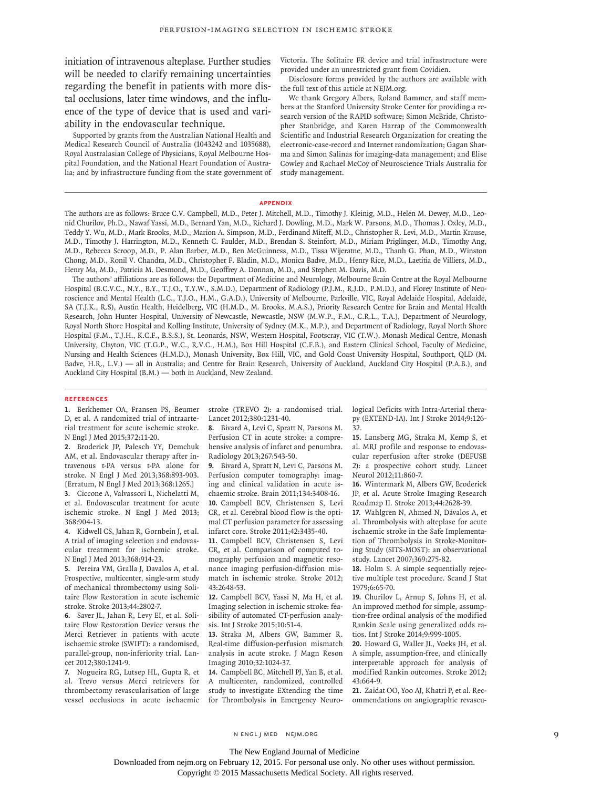initiation of intravenous alteplase. Further studies will be needed to clarify remaining uncertainties regarding the benefit in patients with more distal occlusions, later time windows, and the influence of the type of device that is used and variability in the endovascular technique.

Supported by grants from the Australian National Health and Medical Research Council of Australia (1043242 and 1035688), Royal Australasian College of Physicians, Royal Melbourne Hospital Foundation, and the National Heart Foundation of Australia; and by infrastructure funding from the state government of Victoria. The Solitaire FR device and trial infrastructure were provided under an unrestricted grant from Covidien.

Disclosure forms provided by the authors are available with the full text of this article at NEJM.org.

We thank Gregory Albers, Roland Bammer, and staff members at the Stanford University Stroke Center for providing a research version of the RAPID software; Simon McBride, Christopher Stanbridge, and Karen Harrap of the Commonwealth Scientific and Industrial Research Organization for creating the electronic-case-record and Internet randomization; Gagan Sharma and Simon Salinas for imaging-data management; and Elise Cowley and Rachael McCoy of Neuroscience Trials Australia for study management.

#### **Appendix**

The authors are as follows: Bruce C.V. Campbell, M.D., Peter J. Mitchell, M.D., Timothy J. Kleinig, M.D., Helen M. Dewey, M.D., Leonid Churilov, Ph.D., Nawaf Yassi, M.D., Bernard Yan, M.D., Richard J. Dowling, M.D., Mark W. Parsons, M.D., Thomas J. Oxley, M.D., Teddy Y. Wu, M.D., Mark Brooks, M.D., Marion A. Simpson, M.D., Ferdinand Miteff, M.D., Christopher R. Levi, M.D., Martin Krause, M.D., Timothy J. Harrington, M.D., Kenneth C. Faulder, M.D., Brendan S. Steinfort, M.D., Miriam Priglinger, M.D., Timothy Ang, M.D., Rebecca Scroop, M.D., P. Alan Barber, M.D., Ben McGuinness, M.D., Tissa Wijeratne, M.D., Thanh G. Phan, M.D., Winston Chong, M.D., Ronil V. Chandra, M.D., Christopher F. Bladin, M.D., Monica Badve, M.D., Henry Rice, M.D., Laetitia de Villiers, M.D., Henry Ma, M.D., Patricia M. Desmond, M.D., Geoffrey A. Donnan, M.D., and Stephen M. Davis, M.D.

The authors' affiliations are as follows: the Department of Medicine and Neurology, Melbourne Brain Centre at the Royal Melbourne Hospital (B.C.V.C., N.Y., B.Y., T.J.O., T.Y.W., S.M.D.), Department of Radiology (P.J.M., R.J.D., P.M.D.), and Florey Institute of Neuroscience and Mental Health (L.C., T.J.O., H.M., G.A.D.), University of Melbourne, Parkville, VIC, Royal Adelaide Hospital, Adelaide, SA (T.J.K., R.S), Austin Health, Heidelberg, VIC (H.M.D., M. Brooks, M.A.S.), Priority Research Centre for Brain and Mental Health Research, John Hunter Hospital, University of Newcastle, Newcastle, NSW (M.W.P., F.M., C.R.L., T.A.), Department of Neurology, Royal North Shore Hospital and Kolling Institute, University of Sydney (M.K., M.P.), and Department of Radiology, Royal North Shore Hospital (F.M., T.J.H., K.C.F., B.S.S.), St. Leonards, NSW, Western Hospital, Footscray, VIC (T.W.), Monash Medical Centre, Monash University, Clayton, VIC (T.G.P., W.C., R.V.C., H.M.), Box Hill Hospital (C.F.B.), and Eastern Clinical School, Faculty of Medicine, Nursing and Health Sciences (H.M.D.), Monash University, Box Hill, VIC, and Gold Coast University Hospital, Southport, QLD (M. Badve, H.R., L.V.) — all in Australia; and Centre for Brain Research, University of Auckland, Auckland City Hospital (P.A.B.), and Auckland City Hospital (B.M.) — both in Auckland, New Zealand.

#### **References**

**1.** Berkhemer OA, Fransen PS, Beumer D, et al. A randomized trial of intraarterial treatment for acute ischemic stroke. N Engl J Med 2015;372:11-20.

**2.** Broderick JP, Palesch YY, Demchuk AM, et al. Endovascular therapy after intravenous t-PA versus t-PA alone for stroke. N Engl J Med 2013;368:893-903. [Erratum, N Engl J Med 2013;368:1265.] **3.** Ciccone A, Valvassori L, Nichelatti M, et al. Endovascular treatment for acute ischemic stroke. N Engl J Med 2013; 368:904-13.

**4.** Kidwell CS, Jahan R, Gornbein J, et al. A trial of imaging selection and endovascular treatment for ischemic stroke. N Engl J Med 2013;368:914-23.

**5.** Pereira VM, Gralla J, Davalos A, et al. Prospective, multicenter, single-arm study of mechanical thrombectomy using Solitaire Flow Restoration in acute ischemic stroke. Stroke 2013;44:2802-7.

**6.** Saver JL, Jahan R, Levy EI, et al. Solitaire Flow Restoration Device versus the Merci Retriever in patients with acute ischaemic stroke (SWIFT): a randomised, parallel-group, non-inferiority trial. Lancet 2012;380:1241-9.

**7.** Nogueira RG, Lutsep HL, Gupta R, et al. Trevo versus Merci retrievers for thrombectomy revascularisation of large vessel occlusions in acute ischaemic

stroke (TREVO 2): a randomised trial. Lancet 2012;380:1231-40.

**8.** Bivard A, Levi C, Spratt N, Parsons M. Perfusion CT in acute stroke: a comprehensive analysis of infarct and penumbra. Radiology 2013;267:543-50.

**9.** Bivard A, Spratt N, Levi C, Parsons M. Perfusion computer tomography: imaging and clinical validation in acute ischaemic stroke. Brain 2011;134:3408-16. **10.** Campbell BCV, Christensen S, Levi CR, et al. Cerebral blood flow is the optimal CT perfusion parameter for assessing infarct core. Stroke 2011;42:3435-40.

**11.** Campbell BCV, Christensen S, Levi CR, et al. Comparison of computed tomography perfusion and magnetic resonance imaging perfusion-diffusion mismatch in ischemic stroke. Stroke 2012; 43:2648-53.

**12.** Campbell BCV, Yassi N, Ma H, et al. Imaging selection in ischemic stroke: feasibility of automated CT-perfusion analysis. Int J Stroke 2015;10:51-4.

**13.** Straka M, Albers GW, Bammer R. Real-time diffusion-perfusion mismatch analysis in acute stroke. J Magn Reson Imaging 2010;32:1024-37.

**14.** Campbell BC, Mitchell PJ, Yan B, et al. A multicenter, randomized, controlled study to investigate EXtending the time for Thrombolysis in Emergency Neurological Deficits with Intra-Arterial therapy (EXTEND-IA). Int J Stroke 2014;9:126- 32.

**15.** Lansberg MG, Straka M, Kemp S, et al. MRI profile and response to endovascular reperfusion after stroke (DEFUSE 2): a prospective cohort study. Lancet Neurol 2012;11:860-7.

**16.** Wintermark M, Albers GW, Broderick JP, et al. Acute Stroke Imaging Research Roadmap II. Stroke 2013;44:2628-39.

**17.** Wahlgren N, Ahmed N, Dávalos A, et al. Thrombolysis with alteplase for acute ischaemic stroke in the Safe Implementation of Thrombolysis in Stroke-Monitoring Study (SITS-MOST): an observational study. Lancet 2007;369:275-82.

**18.** Holm S. A simple sequentially rejective multiple test procedure. Scand J Stat 1979;6:65-70.

**19.** Churilov L, Arnup S, Johns H, et al. An improved method for simple, assumption-free ordinal analysis of the modified Rankin Scale using generalized odds ratios. Int J Stroke 2014;9:999-1005.

**20.** Howard G, Waller JL, Voeks JH, et al. A simple, assumption-free, and clinically interpretable approach for analysis of modified Rankin outcomes. Stroke 2012; 43:664-9.

**21.** Zaidat OO, Yoo AJ, Khatri P, et al. Recommendations on angiographic revascu-

The New England Journal of Medicine

Downloaded from nejm.org on February 12, 2015. For personal use only. No other uses without permission.